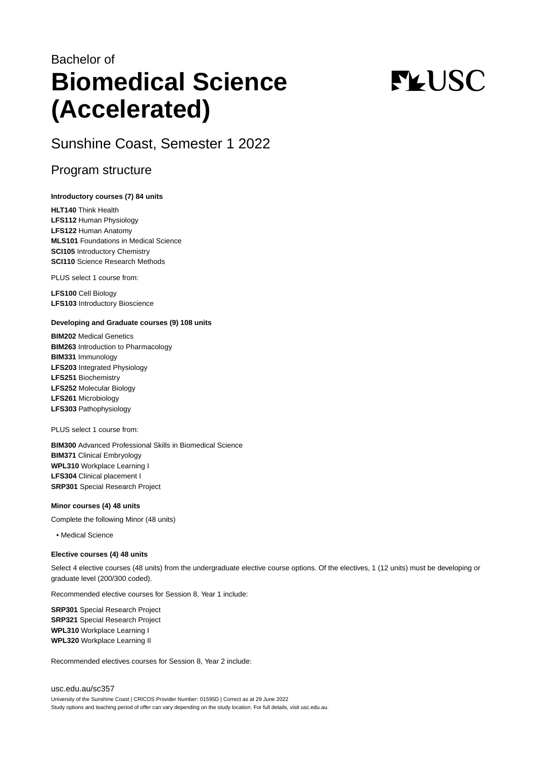## Bachelor of **Biomedical Science (Accelerated)**

# **FLUSC**

Sunshine Coast, Semester 1 2022

## Program structure

#### **Introductory courses (7) 84 units**

**HLT140** Think Health **LFS112** Human Physiology **LFS122** Human Anatomy **MLS101** Foundations in Medical Science **SCI105** Introductory Chemistry **SCI110** Science Research Methods

PLUS select 1 course from:

**LFS100** Cell Biology **LFS103** Introductory Bioscience

#### **Developing and Graduate courses (9) 108 units**

**BIM202** Medical Genetics **BIM263** Introduction to Pharmacology **BIM331** Immunology **LFS203** Integrated Physiology **LFS251** Biochemistry **LFS252** Molecular Biology **LFS261** Microbiology **LFS303** Pathophysiology

PLUS select 1 course from:

**BIM300** Advanced Professional Skills in Biomedical Science **BIM371** Clinical Embryology **WPL310** Workplace Learning I **LFS304** Clinical placement I **SRP301** Special Research Project

#### **Minor courses (4) 48 units**

Complete the following Minor (48 units)

• Medical Science

#### **Elective courses (4) 48 units**

Select 4 elective courses (48 units) from the undergraduate elective course options. Of the electives, 1 (12 units) must be developing or graduate level (200/300 coded).

Recommended elective courses for Session 8, Year 1 include:

**SRP301** Special Research Project **SRP321** Special Research Project **WPL310** Workplace Learning I **WPL320** Workplace Learning II

Recommended electives courses for Session 8, Year 2 include:

[usc.edu.au/sc357](https://www.usc.edu.au/sc357) University of the Sunshine Coast | CRICOS Provider Number: 01595D | Correct as at 29 June 2022 Study options and teaching period of offer can vary depending on the study location. For full details, visit usc.edu.au.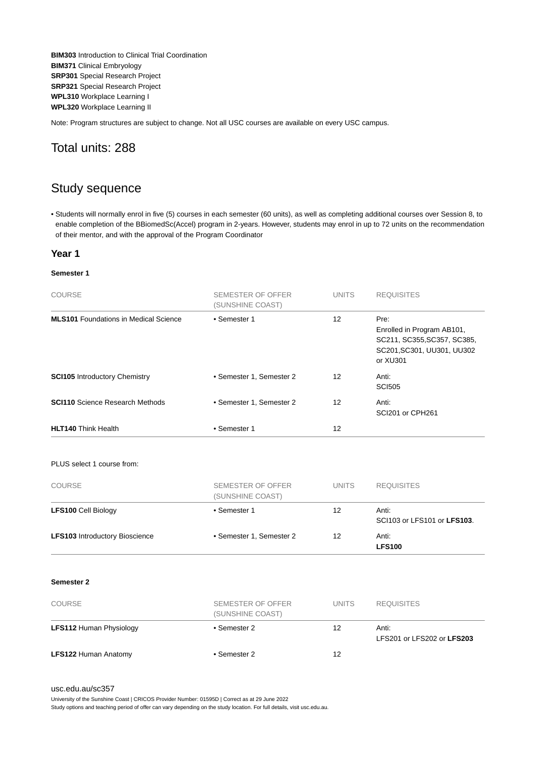**BIM303** Introduction to Clinical Trial Coordination **BIM371** Clinical Embryology **SRP301** Special Research Project **SRP321** Special Research Project **WPL310** Workplace Learning I **WPL320** Workplace Learning II

Note: Program structures are subject to change. Not all USC courses are available on every USC campus.

### Total units: 288

## Study sequence

• Students will normally enrol in five (5) courses in each semester (60 units), as well as completing additional courses over Session 8, to enable completion of the BBiomedSc(Accel) program in 2-years. However, students may enrol in up to 72 units on the recommendation of their mentor, and with the approval of the Program Coordinator

#### **Year 1**

#### **Semester 1**

| <b>COURSE</b>                                | SEMESTER OF OFFER<br>(SUNSHINE COAST) | <b>UNITS</b> | <b>REQUISITES</b>                                                                                           |
|----------------------------------------------|---------------------------------------|--------------|-------------------------------------------------------------------------------------------------------------|
| <b>MLS101</b> Foundations in Medical Science | • Semester 1                          | 12           | Pre:<br>Enrolled in Program AB101,<br>SC211, SC355, SC357, SC385,<br>SC201, SC301, UU301, UU302<br>or XU301 |
| <b>SCI105</b> Introductory Chemistry         | • Semester 1, Semester 2              | 12           | Anti:<br><b>SCI505</b>                                                                                      |
| <b>SCI110</b> Science Research Methods       | • Semester 1, Semester 2              | 12           | Anti:<br>SCI201 or CPH261                                                                                   |
| <b>HLT140 Think Health</b>                   | • Semester 1                          | 12           |                                                                                                             |

#### PLUS select 1 course from:

| <b>COURSE</b>                         | SEMESTER OF OFFER<br>(SUNSHINE COAST) | <b>UNITS</b> | <b>REQUISITES</b>                    |
|---------------------------------------|---------------------------------------|--------------|--------------------------------------|
| <b>LFS100 Cell Biology</b>            | • Semester 1                          | 12           | Anti:<br>SCI103 or LFS101 or LFS103. |
| <b>LFS103</b> Introductory Bioscience | • Semester 1, Semester 2              | 12           | Anti:<br><b>LFS100</b>               |

#### **Semester 2**

| <b>COURSE</b>                  | SEMESTER OF OFFER<br>(SUNSHINE COAST) | <b>UNITS</b> | <b>REQUISITES</b>                   |
|--------------------------------|---------------------------------------|--------------|-------------------------------------|
| <b>LFS112 Human Physiology</b> | • Semester 2                          | 12           | Anti:<br>LFS201 or LFS202 or LFS203 |
| <b>LFS122 Human Anatomy</b>    | • Semester 2                          | 12           |                                     |

#### [usc.edu.au/sc357](https://www.usc.edu.au/sc357)

University of the Sunshine Coast | CRICOS Provider Number: 01595D | Correct as at 29 June 2022 Study options and teaching period of offer can vary depending on the study location. For full details, visit usc.edu.au.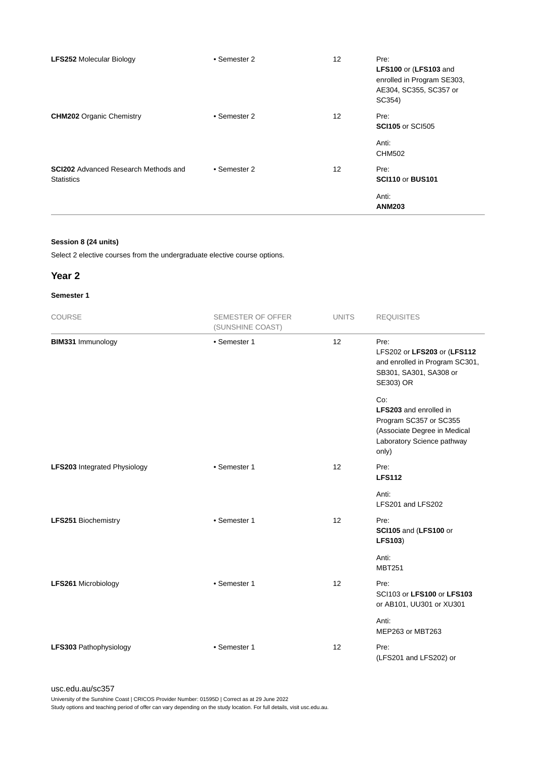| <b>LFS252 Molecular Biology</b>                                  | • Semester 2 | 12 | Pre:<br>LFS100 or (LFS103 and<br>enrolled in Program SE303,<br>AE304, SC355, SC357 or<br>SC354) |
|------------------------------------------------------------------|--------------|----|-------------------------------------------------------------------------------------------------|
| <b>CHM202</b> Organic Chemistry                                  | • Semester 2 | 12 | Pre:<br><b>SCI105</b> or SCI505                                                                 |
|                                                                  |              |    | Anti:<br><b>CHM502</b>                                                                          |
| <b>SCI202</b> Advanced Research Methods and<br><b>Statistics</b> | • Semester 2 | 12 | Pre:<br><b>SCI110 or BUS101</b>                                                                 |
|                                                                  |              |    | Anti:<br><b>ANM203</b>                                                                          |

#### **Session 8 (24 units)**

Select 2 elective courses from the undergraduate elective course options.

#### **Year 2**

#### **Semester 1**

| COURSE                              | <b>SEMESTER OF OFFER</b><br>(SUNSHINE COAST) | <b>UNITS</b> | <b>REQUISITES</b>                                                                                                              |
|-------------------------------------|----------------------------------------------|--------------|--------------------------------------------------------------------------------------------------------------------------------|
| BIM331 Immunology                   | • Semester 1                                 | 12           | Pre:<br>LFS202 or LFS203 or (LFS112<br>and enrolled in Program SC301,<br>SB301, SA301, SA308 or<br>SE303) OR                   |
|                                     |                                              |              | Co:<br>LFS203 and enrolled in<br>Program SC357 or SC355<br>(Associate Degree in Medical<br>Laboratory Science pathway<br>only) |
| <b>LFS203</b> Integrated Physiology | • Semester 1                                 | 12           | Pre:<br><b>LFS112</b>                                                                                                          |
|                                     |                                              |              | Anti:<br>LFS201 and LFS202                                                                                                     |
| <b>LFS251 Biochemistry</b>          | • Semester 1                                 | 12           | Pre:<br>SCI105 and (LFS100 or<br><b>LFS103)</b>                                                                                |
|                                     |                                              |              | Anti:<br><b>MBT251</b>                                                                                                         |
| LFS261 Microbiology                 | • Semester 1                                 | 12           | Pre:<br>SCI103 or LFS100 or LFS103<br>or AB101, UU301 or XU301                                                                 |
|                                     |                                              |              | Anti:<br>MEP263 or MBT263                                                                                                      |
| LFS303 Pathophysiology              | • Semester 1                                 | 12           | Pre:<br>(LFS201 and LFS202) or                                                                                                 |

[usc.edu.au/sc357](https://www.usc.edu.au/sc357)

University of the Sunshine Coast | CRICOS Provider Number: 01595D | Correct as at 29 June 2022 Study options and teaching period of offer can vary depending on the study location. For full details, visit usc.edu.au.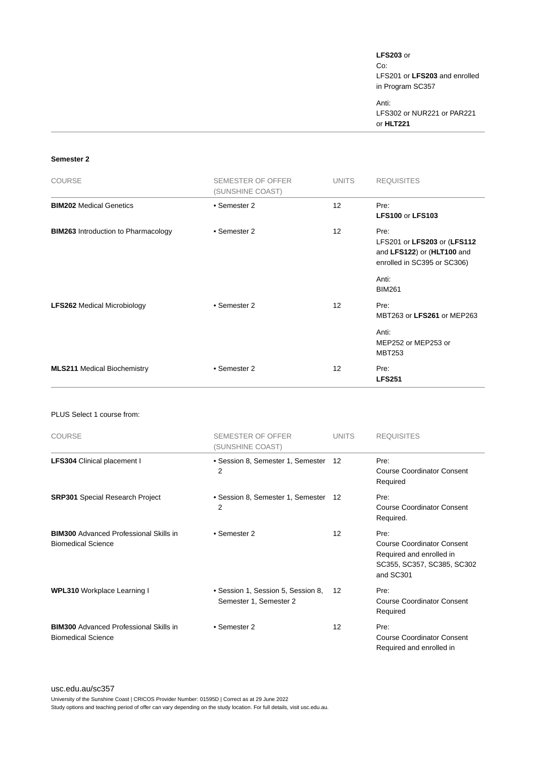**LFS203** or Co: LFS201 or **LFS203** and enrolled in Program SC357

Anti: LFS302 or NUR221 or PAR221 or **HLT221**

#### **Semester 2**

| <b>COURSE</b>                              | SEMESTER OF OFFER<br>(SUNSHINE COAST) | UNITS             | <b>REQUISITES</b>                                                                                |
|--------------------------------------------|---------------------------------------|-------------------|--------------------------------------------------------------------------------------------------|
| <b>BIM202 Medical Genetics</b>             | • Semester 2                          | 12                | Pre:<br><b>LFS100 or LFS103</b>                                                                  |
| <b>BIM263</b> Introduction to Pharmacology | • Semester 2                          | $12 \overline{ }$ | Pre:<br>LFS201 or LFS203 or (LFS112<br>and LFS122) or (HLT100 and<br>enrolled in SC395 or SC306) |
|                                            |                                       |                   | Anti:<br><b>BIM261</b>                                                                           |
| <b>LFS262 Medical Microbiology</b>         | • Semester 2                          | $12 \overline{ }$ | Pre:<br>MBT263 or LFS261 or MEP263                                                               |
|                                            |                                       |                   | Anti:<br>MEP252 or MEP253 or<br><b>MBT253</b>                                                    |
| <b>MLS211 Medical Biochemistry</b>         | • Semester 2                          | 12                | Pre:<br><b>LFS251</b>                                                                            |

#### PLUS Select 1 course from:

| <b>COURSE</b>                                                              | SEMESTER OF OFFER<br>(SUNSHINE COAST)                        | <b>UNITS</b> | <b>REQUISITES</b>                                                                                                |
|----------------------------------------------------------------------------|--------------------------------------------------------------|--------------|------------------------------------------------------------------------------------------------------------------|
| <b>LFS304</b> Clinical placement I                                         | • Session 8, Semester 1, Semester 12<br>2                    |              | Pre:<br><b>Course Coordinator Consent</b><br>Required                                                            |
| <b>SRP301</b> Special Research Project                                     | • Session 8, Semester 1, Semester 12<br>2                    |              | Pre:<br><b>Course Coordinator Consent</b><br>Required.                                                           |
| <b>BIM300</b> Advanced Professional Skills in<br><b>Biomedical Science</b> | • Semester 2                                                 | 12           | Pre:<br><b>Course Coordinator Consent</b><br>Required and enrolled in<br>SC355, SC357, SC385, SC302<br>and SC301 |
| <b>WPL310</b> Workplace Learning I                                         | • Session 1, Session 5, Session 8,<br>Semester 1, Semester 2 | 12           | Pre:<br><b>Course Coordinator Consent</b><br>Required                                                            |
| <b>BIM300</b> Advanced Professional Skills in<br><b>Biomedical Science</b> | • Semester 2                                                 | 12           | Pre:<br><b>Course Coordinator Consent</b><br>Required and enrolled in                                            |

#### [usc.edu.au/sc357](https://www.usc.edu.au/sc357)

University of the Sunshine Coast | CRICOS Provider Number: 01595D | Correct as at 29 June 2022 Study options and teaching period of offer can vary depending on the study location. For full details, visit usc.edu.au.